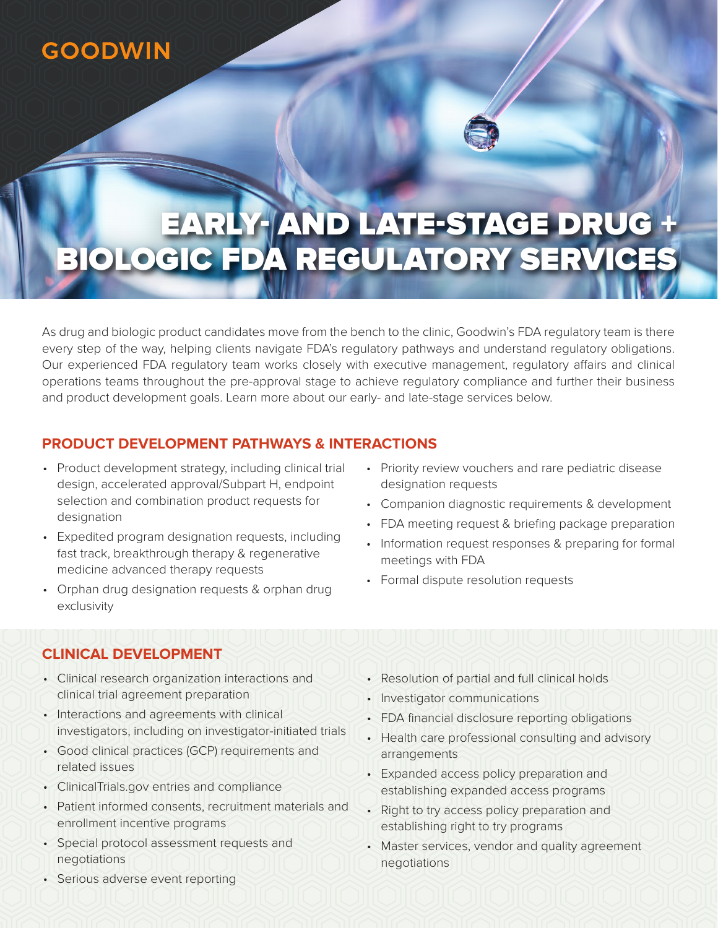## **GOODWIN**



# EARLY- AND LATE-STAGE DRUG + BIOLOGIC FDA REGULATORY SERVICES

As drug and biologic product candidates move from the bench to the clinic, Goodwin's FDA regulatory team is there every step of the way, helping clients navigate FDA's regulatory pathways and understand regulatory obligations. Our experienced FDA regulatory team works closely with executive management, regulatory affairs and clinical operations teams throughout the pre-approval stage to achieve regulatory compliance and further their business and product development goals. Learn more about our early- and late-stage services below.

#### **PRODUCT DEVELOPMENT PATHWAYS & INTERACTIONS**

- Product development strategy, including clinical trial design, accelerated approval/Subpart H, endpoint selection and combination product requests for designation
- Expedited program designation requests, including fast track, breakthrough therapy & regenerative medicine advanced therapy requests
- Orphan drug designation requests & orphan drug exclusivity
- Priority review vouchers and rare pediatric disease designation requests
- Companion diagnostic requirements & development
- FDA meeting request & briefing package preparation
- Information request responses & preparing for formal meetings with FDA
- Formal dispute resolution requests

### **CLINICAL DEVELOPMENT**

- Clinical research organization interactions and clinical trial agreement preparation
- Interactions and agreements with clinical investigators, including on investigator-initiated trials
- Good clinical practices (GCP) requirements and related issues
- ClinicalTrials.gov entries and compliance
- Patient informed consents, recruitment materials and enrollment incentive programs
- Special protocol assessment requests and negotiations
- Resolution of partial and full clinical holds
- Investigator communications
- FDA financial disclosure reporting obligations
- Health care professional consulting and advisory arrangements
- Expanded access policy preparation and establishing expanded access programs
- Right to try access policy preparation and establishing right to try programs
- Master services, vendor and quality agreement negotiations

• Serious adverse event reporting